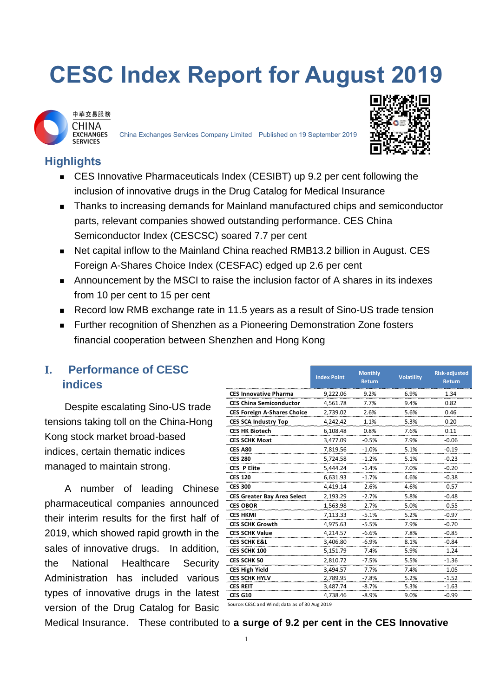# **CESC Index Report for August 2019**



China Exchanges Services Company Limited Published on 19 September 2019



# **Highlights**

- CES Innovative Pharmaceuticals Index (CESIBT) up 9.2 per cent following the inclusion of innovative drugs in the Drug Catalog for Medical Insurance
- Thanks to increasing demands for Mainland manufactured chips and semiconductor parts, relevant companies showed outstanding performance. CES China Semiconductor Index (CESCSC) soared 7.7 per cent
- Net capital inflow to the Mainland China reached RMB13.2 billion in August. CES Foreign A-Shares Choice Index (CESFAC) edged up 2.6 per cent
- Announcement by the MSCI to raise the inclusion factor of A shares in its indexes from 10 per cent to 15 per cent
- Record low RMB exchange rate in 11.5 years as a result of Sino-US trade tension
- **Further recognition of Shenzhen as a Pioneering Demonstration Zone fosters** financial cooperation between Shenzhen and Hong Kong

## **I. Performance of CESC indices**

Despite escalating Sino-US trade tensions taking toll on the China-Hong Kong stock market broad-based indices, certain thematic indices managed to maintain strong.

A number of leading Chinese pharmaceutical companies announced their interim results for the first half of 2019, which showed rapid growth in the sales of innovative drugs. In addition, the National Healthcare Security Administration has included various types of innovative drugs in the latest version of the Drug Catalog for Basic

|                                               | <b>Index Point</b> | <b>Monthly</b><br><b>Return</b> | <b>Volatility</b> | <b>Risk-adjusted</b><br>Return |
|-----------------------------------------------|--------------------|---------------------------------|-------------------|--------------------------------|
| <b>CES Innovative Pharma</b>                  | 9,222.06           | 9.2%                            | 6.9%              | 1.34                           |
| <b>CES China Semiconductor</b>                | 4,561.78           | 7.7%                            | 9.4%              | 0.82                           |
| <b>CES Foreign A-Shares Choice</b>            | 2,739.02           | 2.6%                            | 5.6%              | 0.46                           |
| <b>CES SCA Industry Top</b>                   | 4.242.42           | 1.1%                            | 5.3%              | 0.20                           |
| <b>CES HK Biotech</b>                         | 6.108.48           | 0.8%                            | 7.6%              | 0.11                           |
| <b>CES SCHK Moat</b>                          | 3,477.09           | $-0.5%$                         | 7.9%              | $-0.06$                        |
| <b>CES A80</b>                                | 7,819.56           | $-1.0%$                         | 5.1%              | $-0.19$                        |
| <b>CES 280</b>                                | 5.724.58           | $-1.2%$                         | 5.1%              | $-0.23$                        |
| <b>CES P Elite</b>                            | 5.444.24           | $-1.4%$                         | 7.0%              | $-0.20$                        |
| <b>CES 120</b>                                | 6.631.93           | $-1.7%$                         | 4.6%              | $-0.38$                        |
| <b>CES 300</b>                                | 4.419.14           | $-2.6%$                         | 4.6%              | $-0.57$                        |
| <b>CES Greater Bay Area Select</b>            | 2.193.29           | $-2.7%$                         | 5.8%              | $-0.48$                        |
| <b>CES OBOR</b>                               | 1,563.98           | $-2.7%$                         | 5.0%              | $-0.55$                        |
| <b>CES HKMI</b>                               | 7,113.33           | $-5.1%$                         | 5.2%              | $-0.97$                        |
| <b>CES SCHK Growth</b>                        | 4,975.63           | $-5.5%$                         | 7.9%              | $-0.70$                        |
| <b>CES SCHK Value</b>                         | 4,214.57           | $-6.6%$                         | 7.8%              | $-0.85$                        |
| <b>CES SCHK E&amp;L</b>                       | 3,406.80           | $-6.9%$                         | 8.1%              | $-0.84$                        |
| CES SCHK 100                                  | 5,151.79           | $-7.4%$                         | 5.9%              | $-1.24$                        |
| <b>CES SCHK 50</b>                            | 2,810.72           | $-7.5%$                         | 5.5%              | $-1.36$                        |
| <b>CES High Yield</b>                         | 3.494.57           | $-7.7%$                         | 7.4%              | $-1.05$                        |
| <b>CES SCHK HYLV</b>                          | 2,789.95           | $-7.8%$                         | 5.2%              | $-1.52$                        |
| <b>CES REIT</b>                               | 3,487.74           | $-8.7%$                         | 5.3%              | $-1.63$                        |
| <b>CES G10</b>                                | 4,738.46           | $-8.9%$                         | 9.0%              | $-0.99$                        |
| Source: CESC and Wind; data as of 30 Aug 2019 |                    |                                 |                   |                                |

Medical Insurance. These contributed to **a surge of 9.2 per cent in the CES Innovative**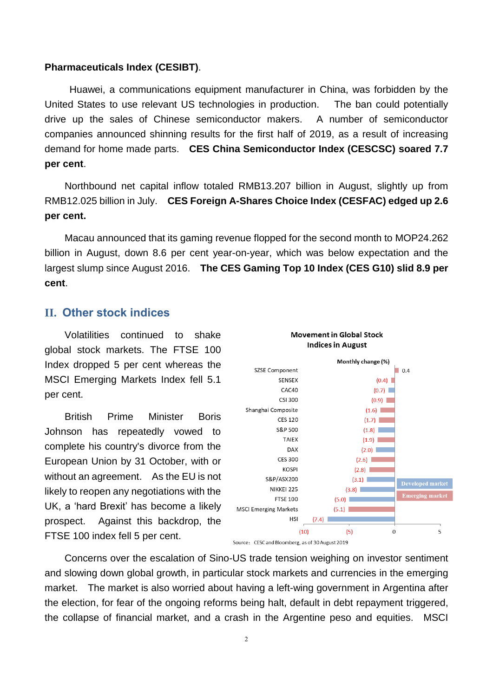#### **Pharmaceuticals Index (CESIBT)**.

Huawei, a communications equipment manufacturer in China, was forbidden by the United States to use relevant US technologies in production. The ban could potentially drive up the sales of Chinese semiconductor makers. A number of semiconductor companies announced shinning results for the first half of 2019, as a result of increasing demand for home made parts. **CES China Semiconductor Index (CESCSC) soared 7.7 per cent**.

Northbound net capital inflow totaled RMB13.207 billion in August, slightly up from RMB12.025 billion in July. **CES Foreign A-Shares Choice Index (CESFAC) edged up 2.6 per cent.**

Macau announced that its gaming revenue flopped for the second month to MOP24.262 billion in August, down 8.6 per cent year-on-year, which was below expectation and the largest slump since August 2016. **The CES Gaming Top 10 Index (CES G10) slid 8.9 per cent**.

#### **II. Other stock indices**

Volatilities continued to shake global stock markets. The FTSE 100 Index dropped 5 per cent whereas the MSCI Emerging Markets Index fell 5.1 per cent.

British Prime Minister Boris Johnson has repeatedly vowed to complete his country's divorce from the European Union by 31 October, with or without an agreement. As the EU is not likely to reopen any negotiations with the UK, a 'hard Brexit' has become a likely prospect. Against this backdrop, the FTSE 100 index fell 5 per cent.



Concerns over the escalation of Sino-US trade tension weighing on investor sentiment and slowing down global growth, in particular stock markets and currencies in the emerging market. The market is also worried about having a left-wing government in Argentina after the election, for fear of the ongoing reforms being halt, default in debt repayment triggered. the collapse of financial market, and a crash in the Argentine peso and equities. MSCI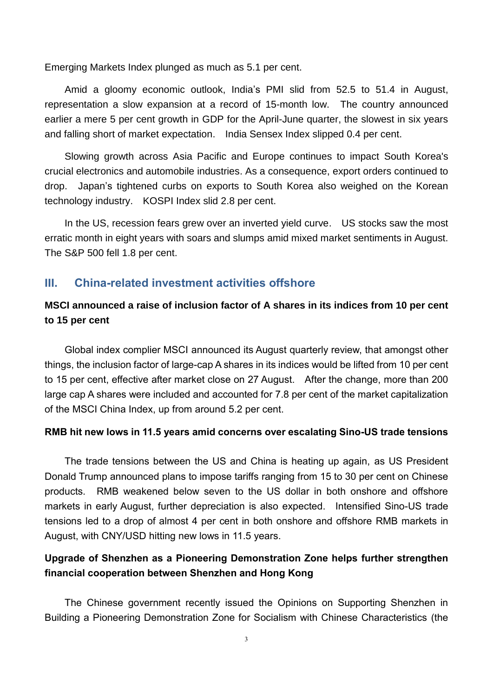Emerging Markets Index plunged as much as 5.1 per cent.

Amid a gloomy economic outlook, India's PMI slid from 52.5 to 51.4 in August, representation a slow expansion at a record of 15-month low. The country announced earlier a mere 5 per cent growth in GDP for the April-June quarter, the slowest in six years and falling short of market expectation. India Sensex Index slipped 0.4 per cent.

Slowing growth across Asia Pacific and Europe continues to impact South Korea's crucial electronics and automobile industries. As a consequence, export orders continued to drop. Japan's tightened curbs on exports to South Korea also weighed on the Korean technology industry. KOSPI Index slid 2.8 per cent.

In the US, recession fears grew over an inverted yield curve. US stocks saw the most erratic month in eight years with soars and slumps amid mixed market sentiments in August. The S&P 500 fell 1.8 per cent.

#### **III. China-related investment activities offshore**

### **MSCI announced a raise of inclusion factor of A shares in its indices from 10 per cent to 15 per cent**

Global index complier MSCI announced its August quarterly review, that amongst other things, the inclusion factor of large-cap A shares in its indices would be lifted from 10 per cent to 15 per cent, effective after market close on 27 August. After the change, more than 200 large cap A shares were included and accounted for 7.8 per cent of the market capitalization of the MSCI China Index, up from around 5.2 per cent.

#### **RMB hit new lows in 11.5 years amid concerns over escalating Sino-US trade tensions**

The trade tensions between the US and China is heating up again, as US President Donald Trump announced plans to impose tariffs ranging from 15 to 30 per cent on Chinese products. RMB weakened below seven to the US dollar in both onshore and offshore markets in early August, further depreciation is also expected. Intensified Sino-US trade tensions led to a drop of almost 4 per cent in both onshore and offshore RMB markets in August, with CNY/USD hitting new lows in 11.5 years.

### **Upgrade of Shenzhen as a Pioneering Demonstration Zone helps further strengthen financial cooperation between Shenzhen and Hong Kong**

The Chinese government recently issued the Opinions on Supporting Shenzhen in Building a Pioneering Demonstration Zone for Socialism with Chinese Characteristics (the